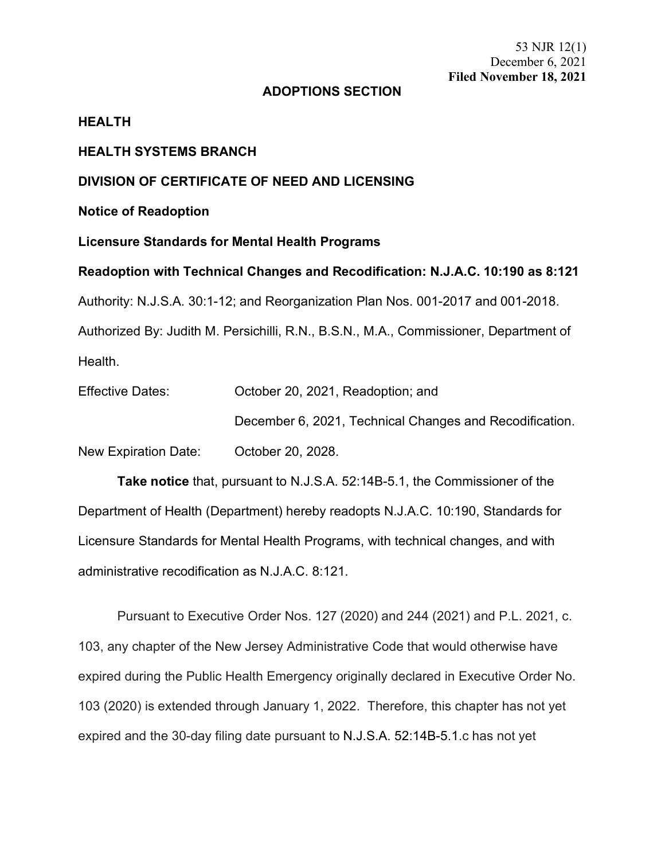53 NJR 12(1) December 6, 2021 **Filed November 18, 2021**

# **ADOPTIONS SECTION**

#### **HEALTH**

### **HEALTH SYSTEMS BRANCH**

# **DIVISION OF CERTIFICATE OF NEED AND LICENSING**

**Notice of Readoption**

### **Licensure Standards for Mental Health Programs**

**Readoption with Technical Changes and Recodification: N.J.A.C. 10:190 as 8:121** Authority: N.J.S.A. 30:1-12; and Reorganization Plan Nos. 001-2017 and 001-2018. Authorized By: Judith M. Persichilli, R.N., B.S.N., M.A., Commissioner, Department of Health.

| <b>Effective Dates:</b> | October 20, 2021, Readoption; and                       |
|-------------------------|---------------------------------------------------------|
|                         | December 6, 2021, Technical Changes and Recodification. |
| New Expiration Date:    | October 20, 2028.                                       |

**Take notice** that, pursuant to N.J.S.A. 52:14B-5.1, the Commissioner of the Department of Health (Department) hereby readopts N.J.A.C. 10:190, Standards for Licensure Standards for Mental Health Programs, with technical changes, and with administrative recodification as N.J.A.C. 8:121.

Pursuant to Executive Order Nos. 127 (2020) and 244 (2021) and P.L. 2021, c. 103, any chapter of the New Jersey Administrative Code that would otherwise have expired during the Public Health Emergency originally declared in Executive Order No. 103 (2020) is extended through January 1, 2022. Therefore, this chapter has not yet expired and the 30-day filing date pursuant to N.J.S.A. 52:14B-5.1.c has not yet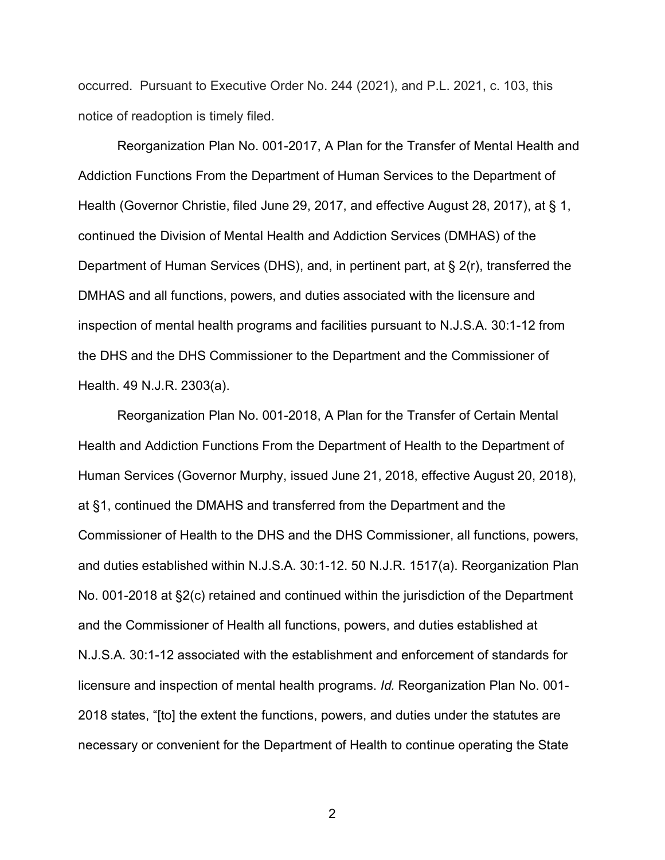occurred. Pursuant to Executive Order No. 244 (2021), and P.L. 2021, c. 103, this notice of readoption is timely filed.

Reorganization Plan No. 001-2017, A Plan for the Transfer of Mental Health and Addiction Functions From the Department of Human Services to the Department of Health (Governor Christie, filed June 29, 2017, and effective August 28, 2017), at § 1, continued the Division of Mental Health and Addiction Services (DMHAS) of the Department of Human Services (DHS), and, in pertinent part, at § 2(r), transferred the DMHAS and all functions, powers, and duties associated with the licensure and inspection of mental health programs and facilities pursuant to N.J.S.A. 30:1-12 from the DHS and the DHS Commissioner to the Department and the Commissioner of Health. 49 N.J.R. 2303(a).

Reorganization Plan No. 001-2018, A Plan for the Transfer of Certain Mental Health and Addiction Functions From the Department of Health to the Department of Human Services (Governor Murphy, issued June 21, 2018, effective August 20, 2018), at §1, continued the DMAHS and transferred from the Department and the Commissioner of Health to the DHS and the DHS Commissioner, all functions, powers, and duties established within N.J.S.A. 30:1-12. 50 N.J.R. 1517(a). Reorganization Plan No. 001-2018 at §2(c) retained and continued within the jurisdiction of the Department and the Commissioner of Health all functions, powers, and duties established at N.J.S.A. 30:1-12 associated with the establishment and enforcement of standards for licensure and inspection of mental health programs. *Id.* Reorganization Plan No. 001- 2018 states, "[to] the extent the functions, powers, and duties under the statutes are necessary or convenient for the Department of Health to continue operating the State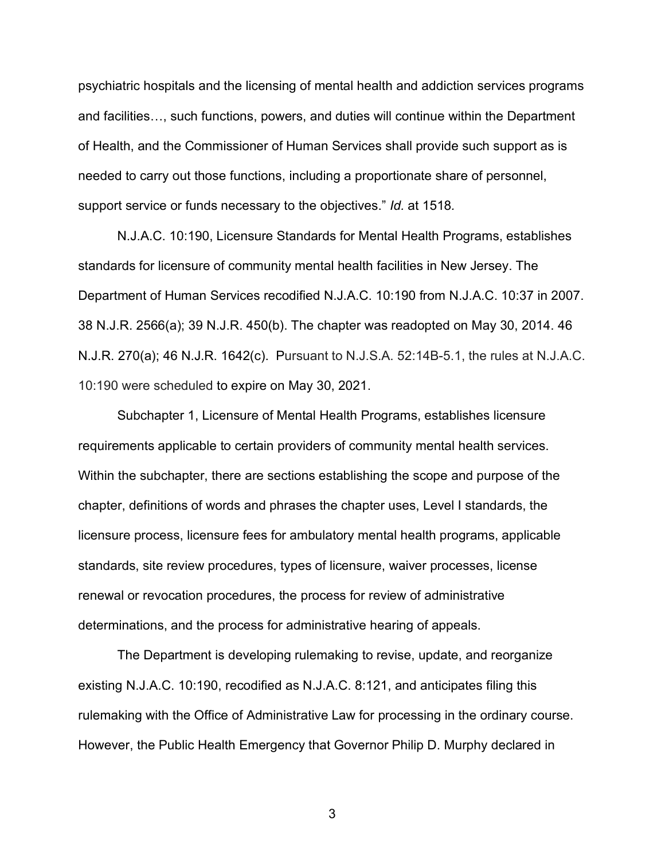psychiatric hospitals and the licensing of mental health and addiction services programs and facilities…, such functions, powers, and duties will continue within the Department of Health, and the Commissioner of Human Services shall provide such support as is needed to carry out those functions, including a proportionate share of personnel, support service or funds necessary to the objectives." *Id.* at 1518*.*

N.J.A.C. 10:190, Licensure Standards for Mental Health Programs, establishes standards for licensure of community mental health facilities in New Jersey. The Department of Human Services recodified N.J.A.C. 10:190 from N.J.A.C. 10:37 in 2007. 38 N.J.R. 2566(a); 39 N.J.R. 450(b). The chapter was readopted on May 30, 2014. 46 N.J.R. 270(a); 46 N.J.R. 1642(c). Pursuant to N.J.S.A. 52:14B-5.1, the rules at N.J.A.C. 10:190 were scheduled to expire on May 30, 2021.

Subchapter 1, Licensure of Mental Health Programs, establishes licensure requirements applicable to certain providers of community mental health services. Within the subchapter, there are sections establishing the scope and purpose of the chapter, definitions of words and phrases the chapter uses, Level I standards, the licensure process, licensure fees for ambulatory mental health programs, applicable standards, site review procedures, types of licensure, waiver processes, license renewal or revocation procedures, the process for review of administrative determinations, and the process for administrative hearing of appeals.

The Department is developing rulemaking to revise, update, and reorganize existing N.J.A.C. 10:190, recodified as N.J.A.C. 8:121, and anticipates filing this rulemaking with the Office of Administrative Law for processing in the ordinary course. However, the Public Health Emergency that Governor Philip D. Murphy declared in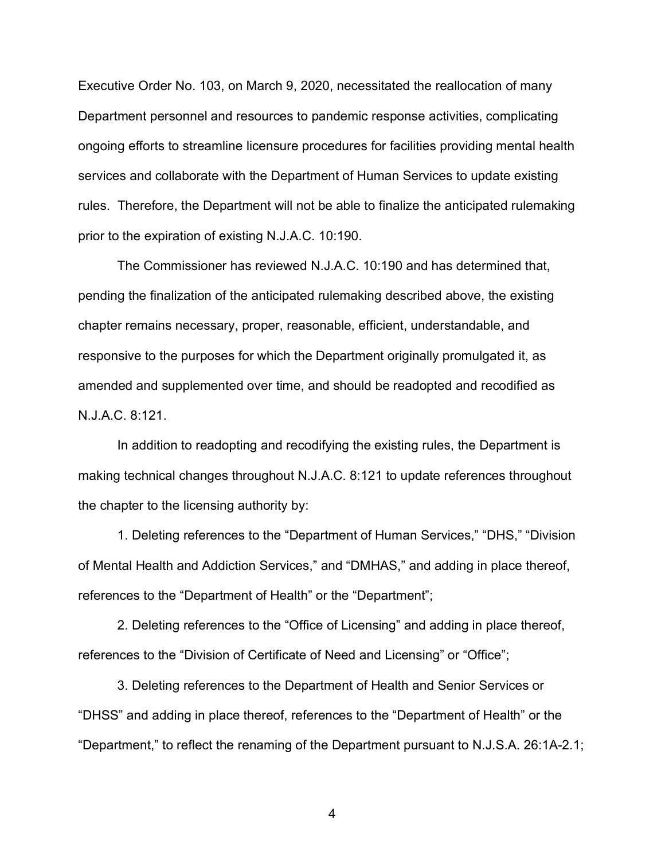Executive Order No. 103, on March 9, 2020, necessitated the reallocation of many Department personnel and resources to pandemic response activities, complicating ongoing efforts to streamline licensure procedures for facilities providing mental health services and collaborate with the Department of Human Services to update existing rules. Therefore, the Department will not be able to finalize the anticipated rulemaking prior to the expiration of existing N.J.A.C. 10:190.

The Commissioner has reviewed N.J.A.C. 10:190 and has determined that, pending the finalization of the anticipated rulemaking described above, the existing chapter remains necessary, proper, reasonable, efficient, understandable, and responsive to the purposes for which the Department originally promulgated it, as amended and supplemented over time, and should be readopted and recodified as N.J.A.C. 8:121.

In addition to readopting and recodifying the existing rules, the Department is making technical changes throughout N.J.A.C. 8:121 to update references throughout the chapter to the licensing authority by:

1. Deleting references to the "Department of Human Services," "DHS," "Division of Mental Health and Addiction Services," and "DMHAS," and adding in place thereof, references to the "Department of Health" or the "Department";

2. Deleting references to the "Office of Licensing" and adding in place thereof, references to the "Division of Certificate of Need and Licensing" or "Office";

3. Deleting references to the Department of Health and Senior Services or "DHSS" and adding in place thereof, references to the "Department of Health" or the "Department," to reflect the renaming of the Department pursuant to N.J.S.A. 26:1A-2.1;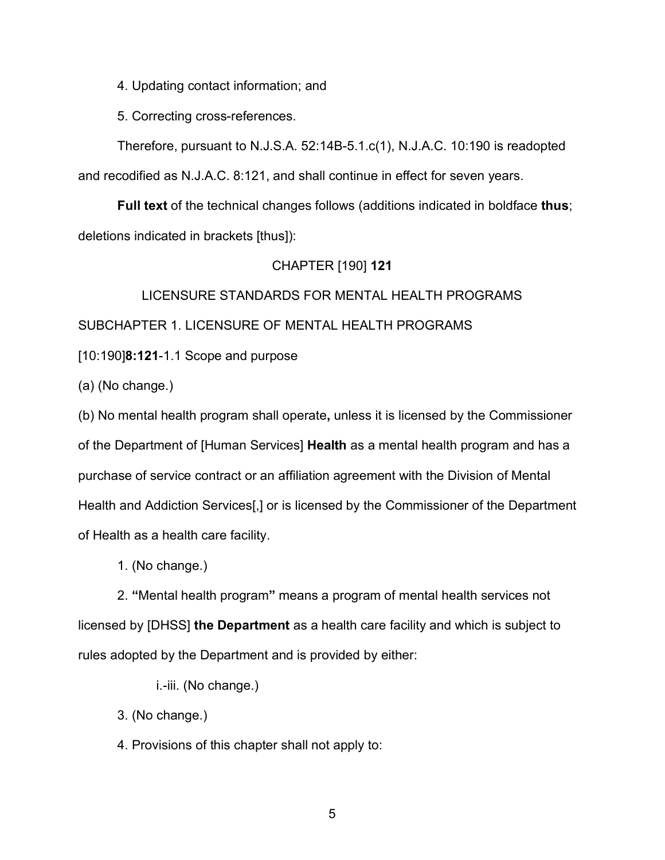4. Updating contact information; and

5. Correcting cross-references.

Therefore, pursuant to N.J.S.A. 52:14B-5.1.c(1), N.J.A.C. 10:190 is readopted and recodified as N.J.A.C. 8:121, and shall continue in effect for seven years.

**Full text** of the technical changes follows (additions indicated in boldface **thus**; deletions indicated in brackets [thus]):

# CHAPTER [190] **121**

LICENSURE STANDARDS FOR MENTAL HEALTH PROGRAMS SUBCHAPTER 1. LICENSURE OF MENTAL HEALTH PROGRAMS

[10:190]**8:121**-1.1 Scope and purpose

(a) (No change.)

(b) No mental health program shall operate**,** unless it is licensed by the Commissioner of the Department of [Human Services] **Health** as a mental health program and has a purchase of service contract or an affiliation agreement with the Division of Mental Health and Addiction Services[,] or is licensed by the Commissioner of the Department of Health as a health care facility.

1. (No change.)

2. **"**Mental health program**"** means a program of mental health services not licensed by [DHSS] **the Department** as a health care facility and which is subject to rules adopted by the Department and is provided by either:

i.-iii. (No change.)

3. (No change.)

4. Provisions of this chapter shall not apply to: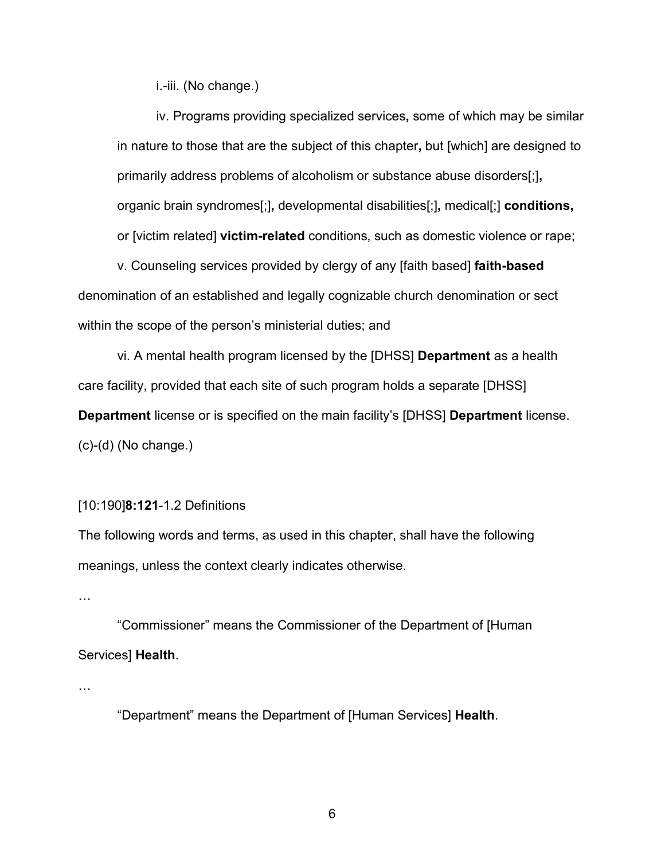i.-iii. (No change.)

iv. Programs providing specialized services**,** some of which may be similar in nature to those that are the subject of this chapter**,** but [which] are designed to primarily address problems of alcoholism or substance abuse disorders[;]**,** organic brain syndromes[;]**,** developmental disabilities[;]**,** medical[;] **conditions,** or [victim related] **victim-related** conditions, such as domestic violence or rape;

v. Counseling services provided by clergy of any [faith based] **faith-based** denomination of an established and legally cognizable church denomination or sect within the scope of the person's ministerial duties; and

vi. A mental health program licensed by the [DHSS] **Department** as a health care facility, provided that each site of such program holds a separate [DHSS] **Department** license or is specified on the main facility's [DHSS] **Department** license. (c)-(d) (No change.)

#### [10:190]**8:121**-1.2 Definitions

The following words and terms, as used in this chapter, shall have the following meanings, unless the context clearly indicates otherwise.

…

"Commissioner" means the Commissioner of the Department of [Human Services] **Health**.

…

"Department" means the Department of [Human Services] **Health**.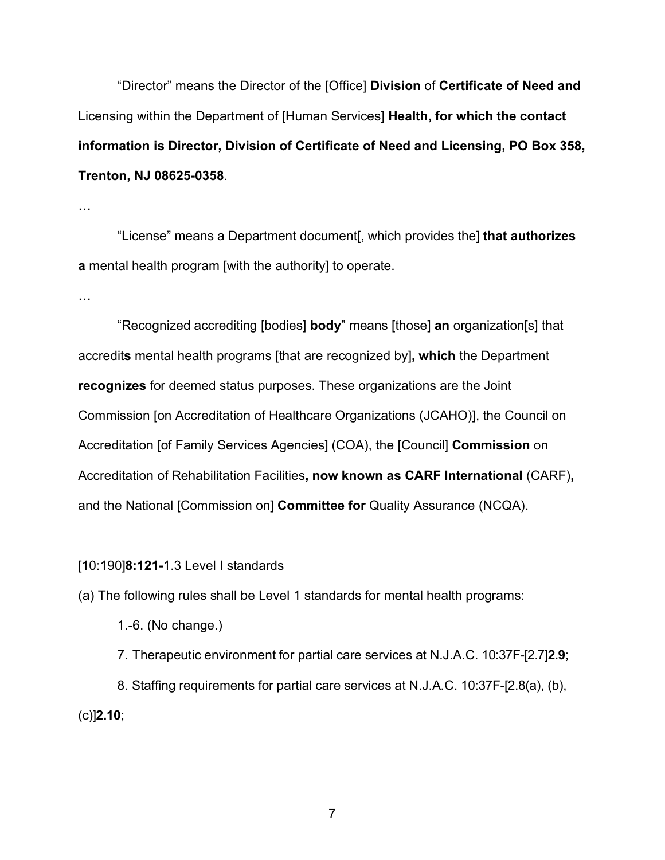"Director" means the Director of the [Office] **Division** of **Certificate of Need and**  Licensing within the Department of [Human Services] **Health, for which the contact information is Director, Division of Certificate of Need and Licensing, PO Box 358, Trenton, NJ 08625-0358**.

…

"License" means a Department document[, which provides the] **that authorizes a** mental health program [with the authority] to operate.

…

"Recognized accrediting [bodies] **body**" means [those] **an** organization[s] that accredit**s** mental health programs [that are recognized by]**, which** the Department **recognizes** for deemed status purposes. These organizations are the Joint Commission [on Accreditation of Healthcare Organizations (JCAHO)], the Council on Accreditation [of Family Services Agencies] (COA), the [Council] **Commission** on Accreditation of Rehabilitation Facilities**, now known as CARF International** (CARF)**,** and the National [Commission on] **Committee for** Quality Assurance (NCQA).

[10:190]**8:121-**1.3 Level I standards

(a) The following rules shall be Level 1 standards for mental health programs:

1.-6. (No change.)

7. Therapeutic environment for partial care services at N.J.A.C. 10:37F-[2.7]**2.9**; 8. Staffing requirements for partial care services at N.J.A.C. 10:37F-[2.8(a), (b), (c)]**2.10**;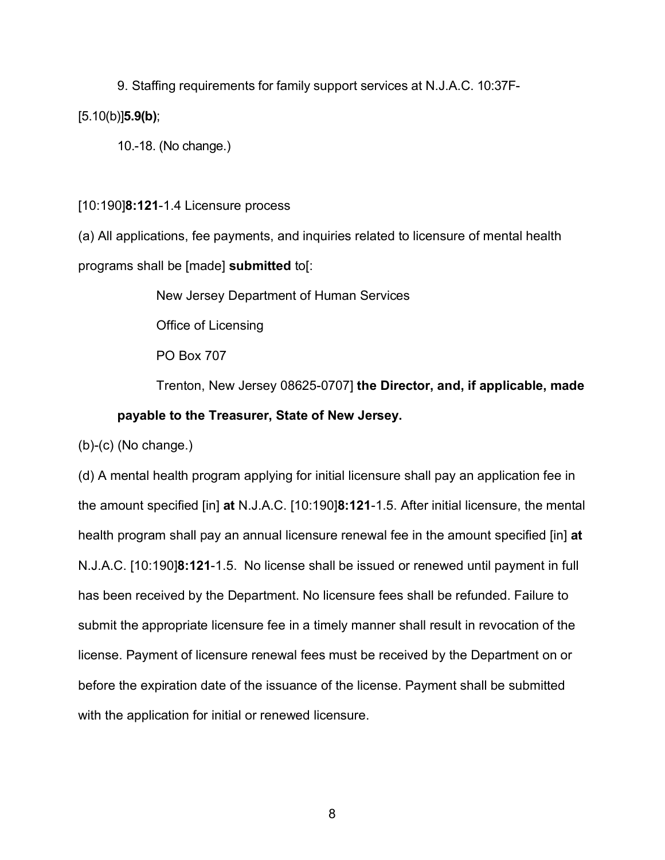9. Staffing requirements for family support services at N.J.A.C. 10:37F- [5.10(b)]**5.9(b)**;

10.-18. (No change.)

[10:190]**8:121**-1.4 Licensure process

(a) All applications, fee payments, and inquiries related to licensure of mental health programs shall be [made] **submitted** to[:

New Jersey Department of Human Services

Office of Licensing

PO Box 707

Trenton, New Jersey 08625-0707] **the Director, and, if applicable, made payable to the Treasurer, State of New Jersey.**

(b)-(c) (No change.)

(d) A mental health program applying for initial licensure shall pay an application fee in the amount specified [in] **at** N.J.A.C. [10:190]**8:121**-1.5. After initial licensure, the mental health program shall pay an annual licensure renewal fee in the amount specified [in] **at** N.J.A.C. [10:190]**8:121**-1.5. No license shall be issued or renewed until payment in full has been received by the Department. No licensure fees shall be refunded. Failure to submit the appropriate licensure fee in a timely manner shall result in revocation of the license. Payment of licensure renewal fees must be received by the Department on or before the expiration date of the issuance of the license. Payment shall be submitted with the application for initial or renewed licensure.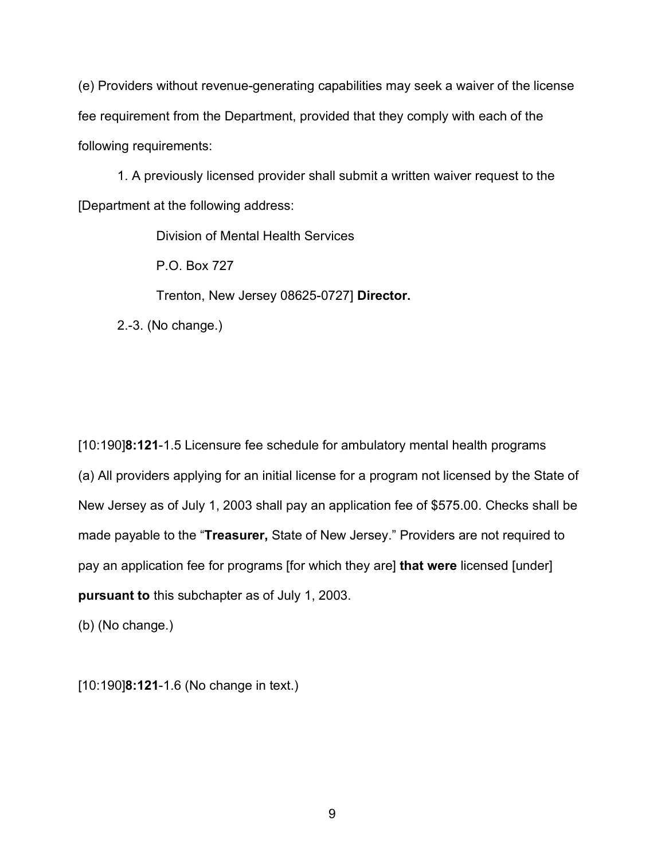(e) Providers without revenue-generating capabilities may seek a waiver of the license fee requirement from the Department, provided that they comply with each of the following requirements:

1. A previously licensed provider shall submit a written waiver request to the [Department at the following address:

Division of Mental Health Services

P.O. Box 727

Trenton, New Jersey 08625-0727] **Director.**

2.-3. (No change.)

[10:190]**8:121**-1.5 Licensure fee schedule for ambulatory mental health programs (a) All providers applying for an initial license for a program not licensed by the State of New Jersey as of July 1, 2003 shall pay an application fee of \$575.00. Checks shall be made payable to the "**Treasurer,** State of New Jersey." Providers are not required to pay an application fee for programs [for which they are] **that were** licensed [under] **pursuant to** this subchapter as of July 1, 2003.

(b) (No change.)

[10:190]**8:121**-1.6 (No change in text.)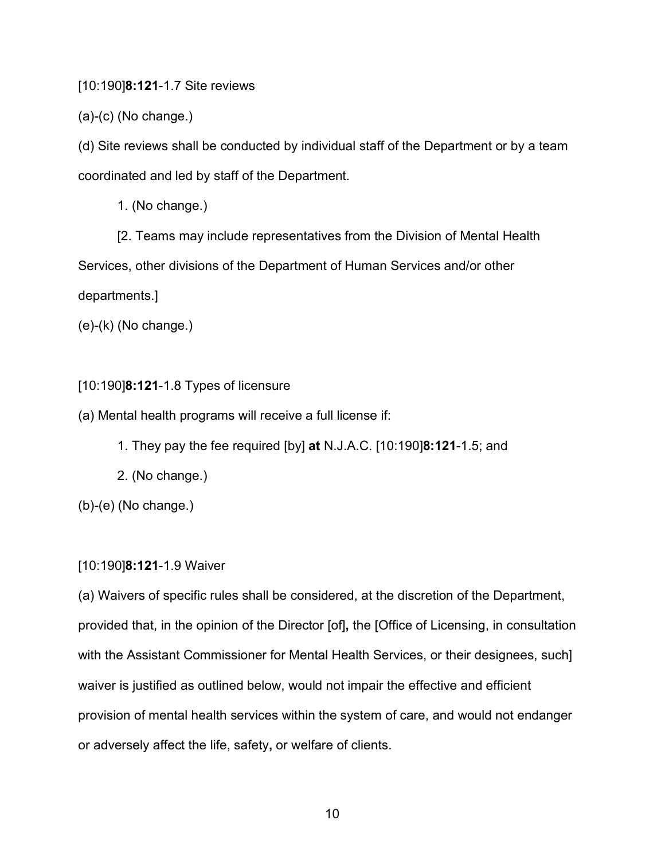[10:190]**8:121**-1.7 Site reviews

(a)-(c) (No change.)

(d) Site reviews shall be conducted by individual staff of the Department or by a team coordinated and led by staff of the Department.

1. (No change.)

[2. Teams may include representatives from the Division of Mental Health Services, other divisions of the Department of Human Services and/or other departments.]

(e)-(k) (No change.)

[10:190]**8:121**-1.8 Types of licensure

(a) Mental health programs will receive a full license if:

- 1. They pay the fee required [by] **at** N.J.A.C. [10:190]**8:121**-1.5; and
- 2. (No change.)

(b)-(e) (No change.)

# [10:190]**8:121**-1.9 Waiver

(a) Waivers of specific rules shall be considered, at the discretion of the Department, provided that, in the opinion of the Director [of]**,** the [Office of Licensing, in consultation with the Assistant Commissioner for Mental Health Services, or their designees, such] waiver is justified as outlined below, would not impair the effective and efficient provision of mental health services within the system of care, and would not endanger or adversely affect the life, safety**,** or welfare of clients.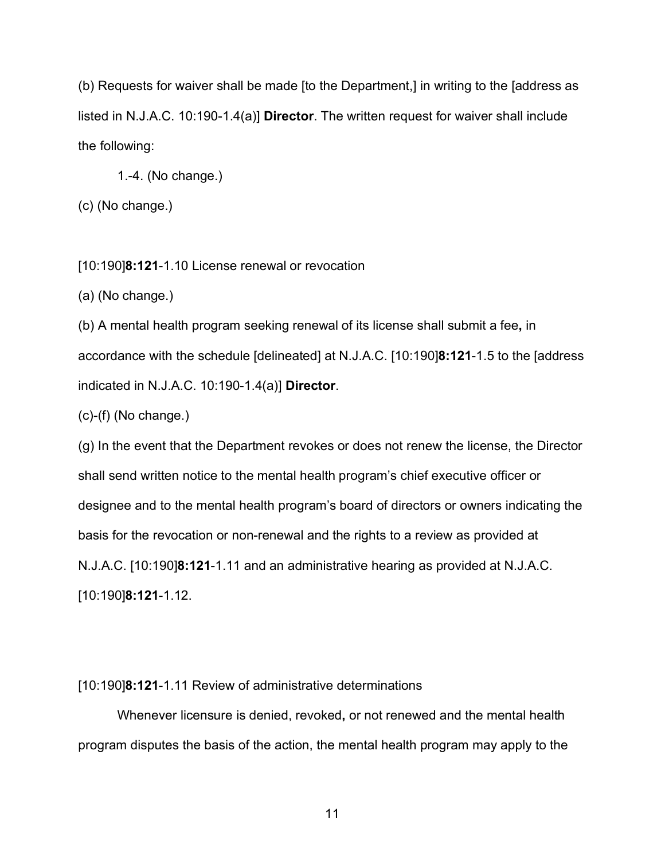(b) Requests for waiver shall be made [to the Department,] in writing to the [address as listed in N.J.A.C. 10:190-1.4(a)] **Director**. The written request for waiver shall include the following:

1.-4. (No change.)

(c) (No change.)

[10:190]**8:121**-1.10 License renewal or revocation

(a) (No change.)

(b) A mental health program seeking renewal of its license shall submit a fee**,** in accordance with the schedule [delineated] at N.J.A.C. [10:190]**8:121**-1.5 to the [address indicated in N.J.A.C. 10:190-1.4(a)] **Director**.

 $(c)-(f)$  (No change.)

(g) In the event that the Department revokes or does not renew the license, the Director shall send written notice to the mental health program's chief executive officer or designee and to the mental health program's board of directors or owners indicating the basis for the revocation or non-renewal and the rights to a review as provided at N.J.A.C. [10:190]**8:121**-1.11 and an administrative hearing as provided at N.J.A.C. [10:190]**8:121**-1.12.

# [10:190]**8:121**-1.11 Review of administrative determinations

Whenever licensure is denied, revoked**,** or not renewed and the mental health program disputes the basis of the action, the mental health program may apply to the